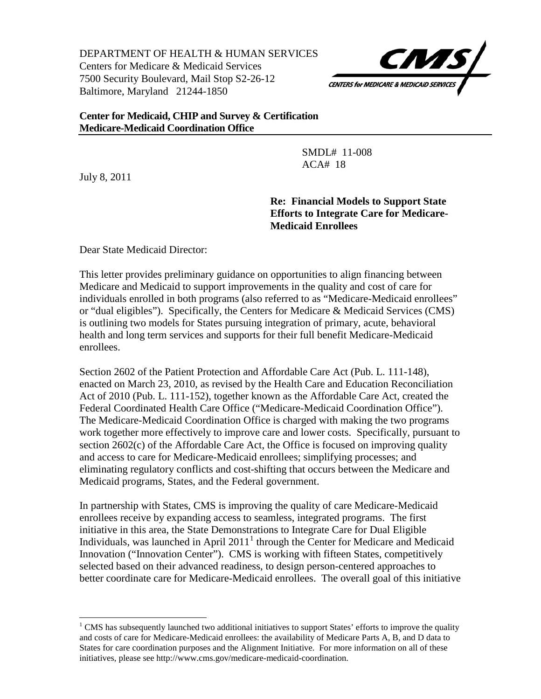DEPARTMENT OF HEALTH & HUMAN SERVICES Centers for Medicare & Medicaid Services 7500 Security Boulevard, Mail Stop S2-26-12 Baltimore, Maryland 21244-1850



#### **Center for Medicaid, CHIP and Survey & Certification Medicare-Medicaid Coordination Office**

 SMDL# 11-008 ACA# 18

July 8, 2011

ı

**Re: Financial Models to Support State Efforts to Integrate Care for Medicare-Medicaid Enrollees**

Dear State Medicaid Director:

This letter provides preliminary guidance on opportunities to align financing between Medicare and Medicaid to support improvements in the quality and cost of care for individuals enrolled in both programs (also referred to as "Medicare-Medicaid enrollees" or "dual eligibles"). Specifically, the Centers for Medicare & Medicaid Services (CMS) is outlining two models for States pursuing integration of primary, acute, behavioral health and long term services and supports for their full benefit Medicare-Medicaid enrollees.

Section 2602 of the Patient Protection and Affordable Care Act (Pub. L. 111-148), enacted on March 23, 2010, as revised by the Health Care and Education Reconciliation Act of 2010 (Pub. L. 111-152), together known as the Affordable Care Act, created the Federal Coordinated Health Care Office ("Medicare-Medicaid Coordination Office"). The Medicare-Medicaid Coordination Office is charged with making the two programs work together more effectively to improve care and lower costs. Specifically, pursuant to section 2602(c) of the Affordable Care Act, the Office is focused on improving quality and access to care for Medicare-Medicaid enrollees; simplifying processes; and eliminating regulatory conflicts and cost-shifting that occurs between the Medicare and Medicaid programs, States, and the Federal government.

In partnership with States, CMS is improving the quality of care Medicare-Medicaid enrollees receive by expanding access to seamless, integrated programs. The first initiative in this area, the State Demonstrations to Integrate Care for Dual Eligible Individuals, was launched in April  $2011<sup>1</sup>$  $2011<sup>1</sup>$  $2011<sup>1</sup>$  through the Center for Medicare and Medicaid Innovation ("Innovation Center"). CMS is working with fifteen States, competitively selected based on their advanced readiness, to design person-centered approaches to better coordinate care for Medicare-Medicaid enrollees. The overall goal of this initiative

<span id="page-0-0"></span><sup>&</sup>lt;sup>1</sup> CMS has subsequently launched two additional initiatives to support States' efforts to improve the quality and costs of care for Medicare-Medicaid enrollees: the availability of Medicare Parts A, B, and D data to States for care coordination purposes and the Alignment Initiative. For more information on all of these initiatives, please see http://www.cms.gov/medicare-medicaid-coordination.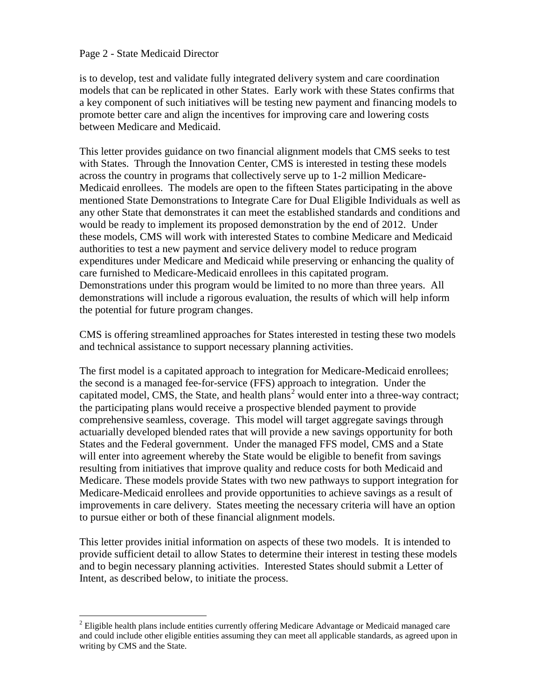#### Page 2 - State Medicaid Director

ı

is to develop, test and validate fully integrated delivery system and care coordination models that can be replicated in other States. Early work with these States confirms that a key component of such initiatives will be testing new payment and financing models to promote better care and align the incentives for improving care and lowering costs between Medicare and Medicaid.

This letter provides guidance on two financial alignment models that CMS seeks to test with States. Through the Innovation Center, CMS is interested in testing these models across the country in programs that collectively serve up to 1-2 million Medicare-Medicaid enrollees. The models are open to the fifteen States participating in the above mentioned State Demonstrations to Integrate Care for Dual Eligible Individuals as well as any other State that demonstrates it can meet the established standards and conditions and would be ready to implement its proposed demonstration by the end of 2012. Under these models, CMS will work with interested States to combine Medicare and Medicaid authorities to test a new payment and service delivery model to reduce program expenditures under Medicare and Medicaid while preserving or enhancing the quality of care furnished to Medicare-Medicaid enrollees in this capitated program. Demonstrations under this program would be limited to no more than three years. All demonstrations will include a rigorous evaluation, the results of which will help inform the potential for future program changes.

CMS is offering streamlined approaches for States interested in testing these two models and technical assistance to support necessary planning activities.

The first model is a capitated approach to integration for Medicare-Medicaid enrollees; the second is a managed fee-for-service (FFS) approach to integration. Under the capitated model, CMS, the State, and health plans<sup>[2](#page-1-0)</sup> would enter into a three-way contract; the participating plans would receive a prospective blended payment to provide comprehensive seamless, coverage. This model will target aggregate savings through actuarially developed blended rates that will provide a new savings opportunity for both States and the Federal government. Under the managed FFS model, CMS and a State will enter into agreement whereby the State would be eligible to benefit from savings resulting from initiatives that improve quality and reduce costs for both Medicaid and Medicare. These models provide States with two new pathways to support integration for Medicare-Medicaid enrollees and provide opportunities to achieve savings as a result of improvements in care delivery. States meeting the necessary criteria will have an option to pursue either or both of these financial alignment models.

This letter provides initial information on aspects of these two models. It is intended to provide sufficient detail to allow States to determine their interest in testing these models and to begin necessary planning activities. Interested States should submit a Letter of Intent, as described below, to initiate the process.

<span id="page-1-0"></span> $2$  Eligible health plans include entities currently offering Medicare Advantage or Medicaid managed care and could include other eligible entities assuming they can meet all applicable standards, as agreed upon in writing by CMS and the State.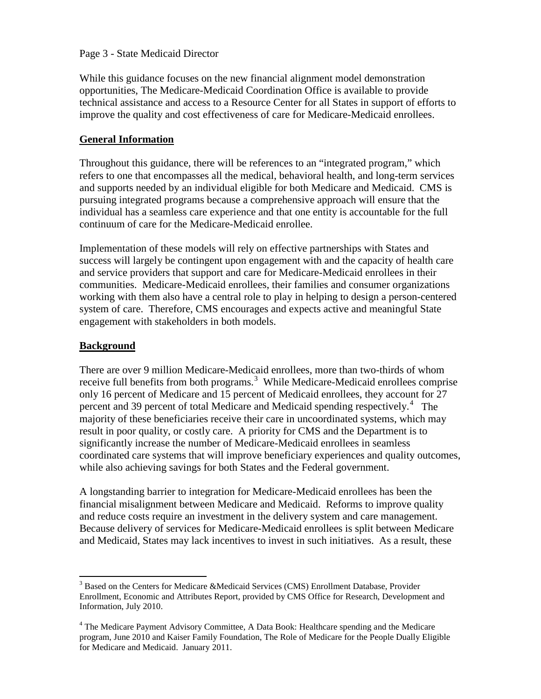#### Page 3 - State Medicaid Director

While this guidance focuses on the new financial alignment model demonstration opportunities, The Medicare-Medicaid Coordination Office is available to provide technical assistance and access to a Resource Center for all States in support of efforts to improve the quality and cost effectiveness of care for Medicare-Medicaid enrollees.

#### **General Information**

Throughout this guidance, there will be references to an "integrated program," which refers to one that encompasses all the medical, behavioral health, and long-term services and supports needed by an individual eligible for both Medicare and Medicaid. CMS is pursuing integrated programs because a comprehensive approach will ensure that the individual has a seamless care experience and that one entity is accountable for the full continuum of care for the Medicare-Medicaid enrollee.

Implementation of these models will rely on effective partnerships with States and success will largely be contingent upon engagement with and the capacity of health care and service providers that support and care for Medicare-Medicaid enrollees in their communities. Medicare-Medicaid enrollees, their families and consumer organizations working with them also have a central role to play in helping to design a person-centered system of care. Therefore, CMS encourages and expects active and meaningful State engagement with stakeholders in both models.

#### **Background**

 $\overline{\phantom{0}}$ 

There are over 9 million Medicare-Medicaid enrollees, more than two-thirds of whom receive full benefits from both programs.<sup>[3](#page-2-0)</sup> While Medicare-Medicaid enrollees comprise only 16 percent of Medicare and 15 percent of Medicaid enrollees, they account for 27 percent and 39 percent of total Medicare and Medicaid spending respectively.<sup>[4](#page-2-1)</sup> The majority of these beneficiaries receive their care in uncoordinated systems, which may result in poor quality, or costly care. A priority for CMS and the Department is to significantly increase the number of Medicare-Medicaid enrollees in seamless coordinated care systems that will improve beneficiary experiences and quality outcomes, while also achieving savings for both States and the Federal government.

A longstanding barrier to integration for Medicare-Medicaid enrollees has been the financial misalignment between Medicare and Medicaid. Reforms to improve quality and reduce costs require an investment in the delivery system and care management. Because delivery of services for Medicare-Medicaid enrollees is split between Medicare and Medicaid, States may lack incentives to invest in such initiatives. As a result, these

<span id="page-2-0"></span><sup>&</sup>lt;sup>3</sup> Based on the Centers for Medicare &Medicaid Services (CMS) Enrollment Database, Provider Enrollment, Economic and Attributes Report, provided by CMS Office for Research, Development and Information, July 2010.

<span id="page-2-1"></span><sup>&</sup>lt;sup>4</sup> The Medicare Payment Advisory Committee, A Data Book: Healthcare spending and the Medicare program, June 2010 and Kaiser Family Foundation, The Role of Medicare for the People Dually Eligible for Medicare and Medicaid. January 2011.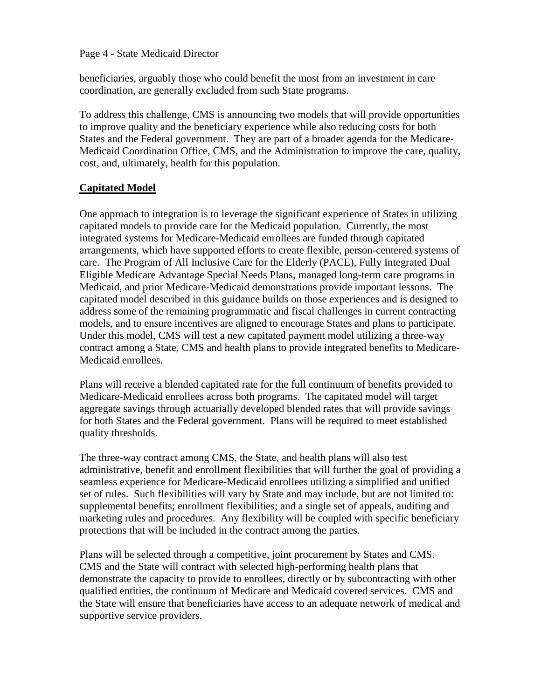#### Page 4 - State Medicaid Director

beneficiaries, arguably those who could benefit the most from an investment in care coordination, are generally excluded from such State programs.

To address this challenge, CMS is announcing two models that will provide opportunities to improve quality and the beneficiary experience while also reducing costs for both States and the Federal government. They are part of a broader agenda for the Medicare-Medicaid Coordination Office, CMS, and the Administration to improve the care, quality, cost, and, ultimately, health for this population.

# **Capitated Model**

One approach to integration is to leverage the significant experience of States in utilizing capitated models to provide care for the Medicaid population. Currently, the most integrated systems for Medicare-Medicaid enrollees are funded through capitated arrangements, which have supported efforts to create flexible, person-centered systems of care. The Program of All Inclusive Care for the Elderly (PACE), Fully Integrated Dual Eligible Medicare Advantage Special Needs Plans, managed long-term care programs in Medicaid, and prior Medicare-Medicaid demonstrations provide important lessons. The capitated model described in this guidance builds on those experiences and is designed to address some of the remaining programmatic and fiscal challenges in current contracting models, and to ensure incentives are aligned to encourage States and plans to participate. Under this model, CMS will test a new capitated payment model utilizing a three-way contract among a State, CMS and health plans to provide integrated benefits to Medicare-Medicaid enrollees.

Plans will receive a blended capitated rate for the full continuum of benefits provided to Medicare-Medicaid enrollees across both programs. The capitated model will target aggregate savings through actuarially developed blended rates that will provide savings for both States and the Federal government. Plans will be required to meet established quality thresholds.

The three-way contract among CMS, the State, and health plans will also test administrative, benefit and enrollment flexibilities that will further the goal of providing a seamless experience for Medicare-Medicaid enrollees utilizing a simplified and unified set of rules. Such flexibilities will vary by State and may include, but are not limited to: supplemental benefits; enrollment flexibilities; and a single set of appeals, auditing and marketing rules and procedures. Any flexibility will be coupled with specific beneficiary protections that will be included in the contract among the parties.

Plans will be selected through a competitive, joint procurement by States and CMS. CMS and the State will contract with selected high-performing health plans that demonstrate the capacity to provide to enrollees, directly or by subcontracting with other qualified entities, the continuum of Medicare and Medicaid covered services. CMS and the State will ensure that beneficiaries have access to an adequate network of medical and supportive service providers.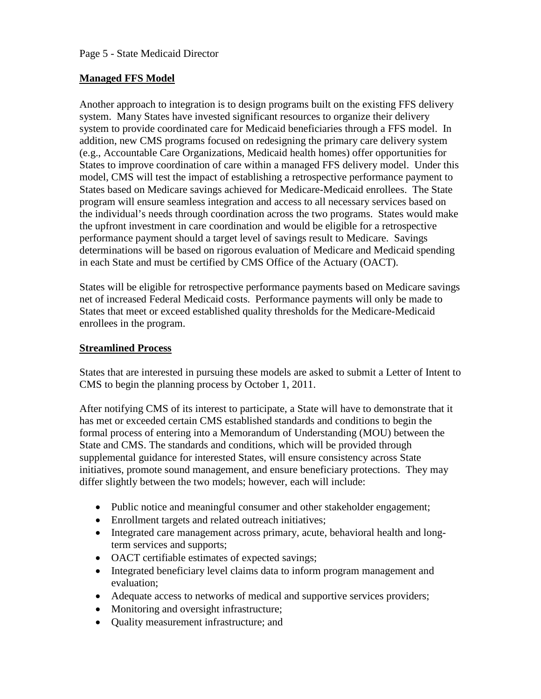# **Managed FFS Model**

Another approach to integration is to design programs built on the existing FFS delivery system. Many States have invested significant resources to organize their delivery system to provide coordinated care for Medicaid beneficiaries through a FFS model. In addition, new CMS programs focused on redesigning the primary care delivery system (e.g., Accountable Care Organizations, Medicaid health homes) offer opportunities for States to improve coordination of care within a managed FFS delivery model. Under this model, CMS will test the impact of establishing a retrospective performance payment to States based on Medicare savings achieved for Medicare-Medicaid enrollees. The State program will ensure seamless integration and access to all necessary services based on the individual's needs through coordination across the two programs. States would make the upfront investment in care coordination and would be eligible for a retrospective performance payment should a target level of savings result to Medicare. Savings determinations will be based on rigorous evaluation of Medicare and Medicaid spending in each State and must be certified by CMS Office of the Actuary (OACT).

States will be eligible for retrospective performance payments based on Medicare savings net of increased Federal Medicaid costs. Performance payments will only be made to States that meet or exceed established quality thresholds for the Medicare-Medicaid enrollees in the program.

## **Streamlined Process**

States that are interested in pursuing these models are asked to submit a Letter of Intent to CMS to begin the planning process by October 1, 2011.

After notifying CMS of its interest to participate, a State will have to demonstrate that it has met or exceeded certain CMS established standards and conditions to begin the formal process of entering into a Memorandum of Understanding (MOU) between the State and CMS. The standards and conditions, which will be provided through supplemental guidance for interested States, will ensure consistency across State initiatives, promote sound management, and ensure beneficiary protections. They may differ slightly between the two models; however, each will include:

- Public notice and meaningful consumer and other stakeholder engagement;
- Enrollment targets and related outreach initiatives;
- Integrated care management across primary, acute, behavioral health and longterm services and supports;
- OACT certifiable estimates of expected savings;
- Integrated beneficiary level claims data to inform program management and evaluation;
- Adequate access to networks of medical and supportive services providers;
- Monitoring and oversight infrastructure;
- Quality measurement infrastructure; and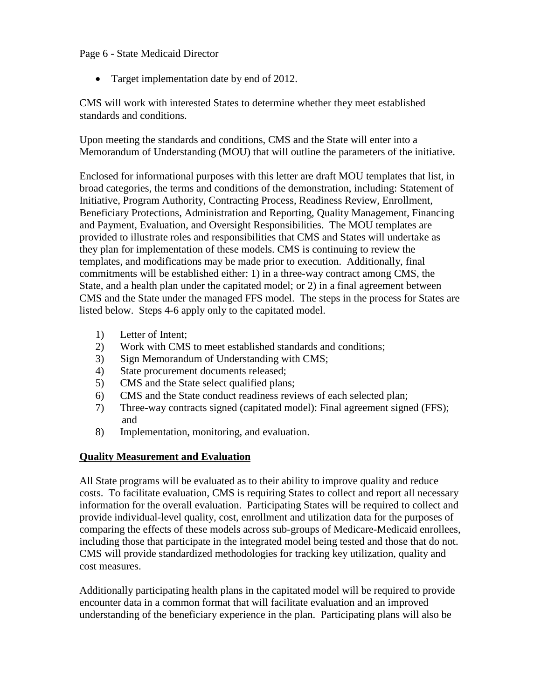#### Page 6 - State Medicaid Director

• Target implementation date by end of 2012.

CMS will work with interested States to determine whether they meet established standards and conditions.

Upon meeting the standards and conditions, CMS and the State will enter into a Memorandum of Understanding (MOU) that will outline the parameters of the initiative.

Enclosed for informational purposes with this letter are draft MOU templates that list, in broad categories, the terms and conditions of the demonstration, including: Statement of Initiative, Program Authority, Contracting Process, Readiness Review, Enrollment, Beneficiary Protections, Administration and Reporting, Quality Management, Financing and Payment, Evaluation, and Oversight Responsibilities. The MOU templates are provided to illustrate roles and responsibilities that CMS and States will undertake as they plan for implementation of these models. CMS is continuing to review the templates, and modifications may be made prior to execution. Additionally, final commitments will be established either: 1) in a three-way contract among CMS, the State, and a health plan under the capitated model; or 2) in a final agreement between CMS and the State under the managed FFS model. The steps in the process for States are listed below. Steps 4-6 apply only to the capitated model.

- 1) Letter of Intent;
- 2) Work with CMS to meet established standards and conditions;
- 3) Sign Memorandum of Understanding with CMS;
- 4) State procurement documents released;
- 5) CMS and the State select qualified plans;
- 6) CMS and the State conduct readiness reviews of each selected plan;
- 7) Three-way contracts signed (capitated model): Final agreement signed (FFS); and
- 8) Implementation, monitoring, and evaluation.

## **Quality Measurement and Evaluation**

All State programs will be evaluated as to their ability to improve quality and reduce costs. To facilitate evaluation, CMS is requiring States to collect and report all necessary information for the overall evaluation. Participating States will be required to collect and provide individual-level quality, cost, enrollment and utilization data for the purposes of comparing the effects of these models across sub-groups of Medicare-Medicaid enrollees, including those that participate in the integrated model being tested and those that do not. CMS will provide standardized methodologies for tracking key utilization, quality and cost measures.

Additionally participating health plans in the capitated model will be required to provide encounter data in a common format that will facilitate evaluation and an improved understanding of the beneficiary experience in the plan. Participating plans will also be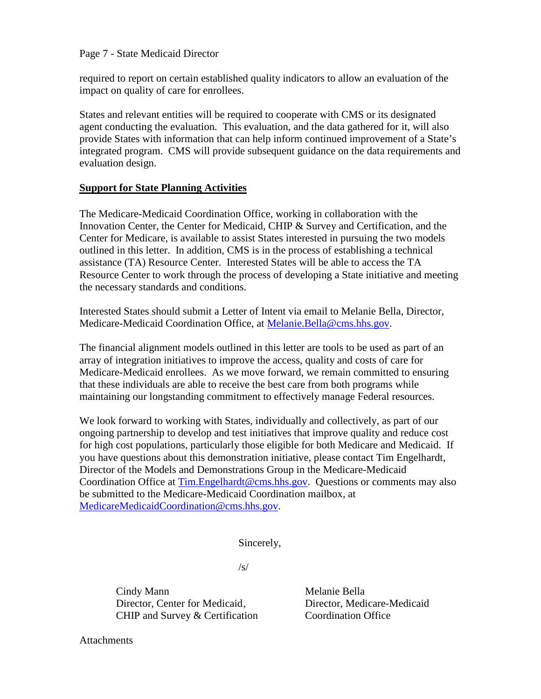#### Page 7 - State Medicaid Director

required to report on certain established quality indicators to allow an evaluation of the impact on quality of care for enrollees.

States and relevant entities will be required to cooperate with CMS or its designated agent conducting the evaluation. This evaluation, and the data gathered for it, will also provide States with information that can help inform continued improvement of a State's integrated program. CMS will provide subsequent guidance on the data requirements and evaluation design.

#### **Support for State Planning Activities**

The Medicare-Medicaid Coordination Office, working in collaboration with the Innovation Center, the Center for Medicaid, CHIP & Survey and Certification, and the Center for Medicare, is available to assist States interested in pursuing the two models outlined in this letter. In addition, CMS is in the process of establishing a technical assistance (TA) Resource Center. Interested States will be able to access the TA Resource Center to work through the process of developing a State initiative and meeting the necessary standards and conditions.

Interested States should submit a Letter of Intent via email to Melanie Bella, Director, Medicare-Medicaid Coordination Office, at [Melanie.Bella@cms.hhs.gov.](mailto:Melanie.Bella@cms.hhs.gov)

The financial alignment models outlined in this letter are tools to be used as part of an array of integration initiatives to improve the access, quality and costs of care for Medicare-Medicaid enrollees. As we move forward, we remain committed to ensuring that these individuals are able to receive the best care from both programs while maintaining our longstanding commitment to effectively manage Federal resources.

We look forward to working with States, individually and collectively, as part of our ongoing partnership to develop and test initiatives that improve quality and reduce cost for high cost populations, particularly those eligible for both Medicare and Medicaid. If you have questions about this demonstration initiative, please contact Tim Engelhardt, Director of the Models and Demonstrations Group in the Medicare-Medicaid Coordination Office at [Tim.Engelhardt@cms.hhs.gov.](mailto:Tim.Engelhardt@cms.hhs.gov) Questions or comments may also be submitted to the Medicare-Medicaid Coordination mailbox, at [MedicareMedicaidCoordination@cms.hhs.gov.](mailto:MedicareMedicaidCoordination@cms.hhs.gov)

Sincerely,

 $\sqrt{s/2}$ 

Cindy Mann Director, Center for Medicaid, CHIP and Survey & Certification

Melanie Bella Director, Medicare-Medicaid Coordination Office

**Attachments**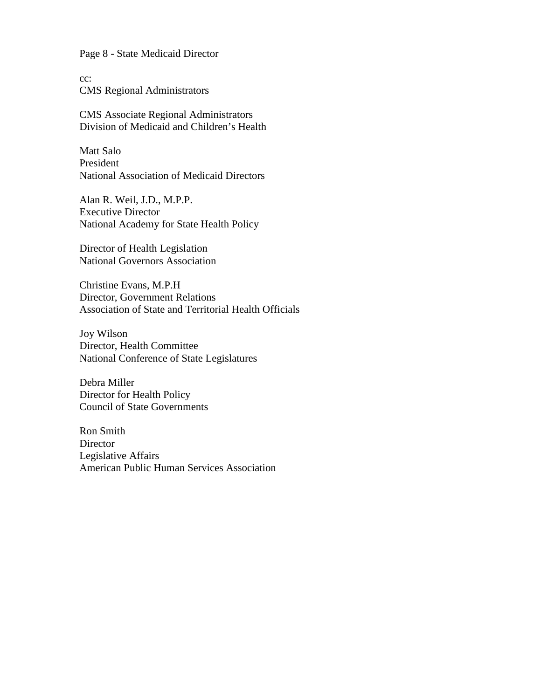Page 8 - State Medicaid Director

cc: CMS Regional Administrators

CMS Associate Regional Administrators Division of Medicaid and Children's Health

Matt Salo President National Association of Medicaid Directors

Alan R. Weil, J.D., M.P.P. Executive Director National Academy for State Health Policy

Director of Health Legislation National Governors Association

Christine Evans, M.P.H Director, Government Relations Association of State and Territorial Health Officials

Joy Wilson Director, Health Committee National Conference of State Legislatures

Debra Miller Director for Health Policy Council of State Governments

Ron Smith **Director** Legislative Affairs American Public Human Services Association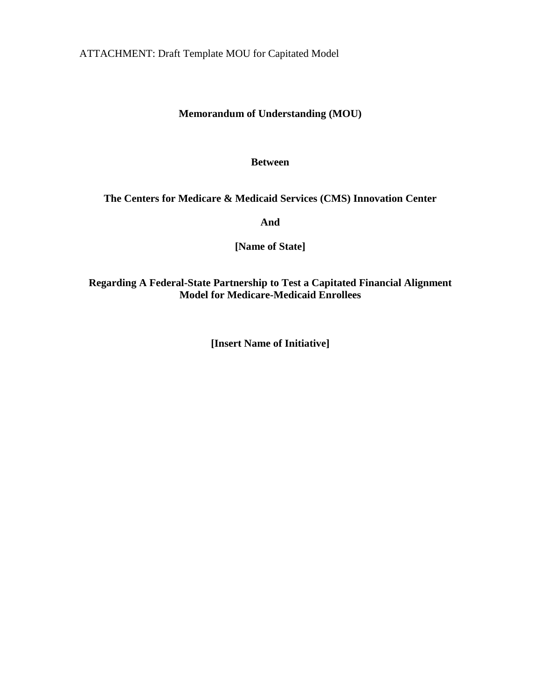ATTACHMENT: Draft Template MOU for Capitated Model

# **Memorandum of Understanding (MOU)**

#### **Between**

## **The Centers for Medicare & Medicaid Services (CMS) Innovation Center**

**And**

**[Name of State]**

**Regarding A Federal-State Partnership to Test a Capitated Financial Alignment Model for Medicare-Medicaid Enrollees**

**[Insert Name of Initiative]**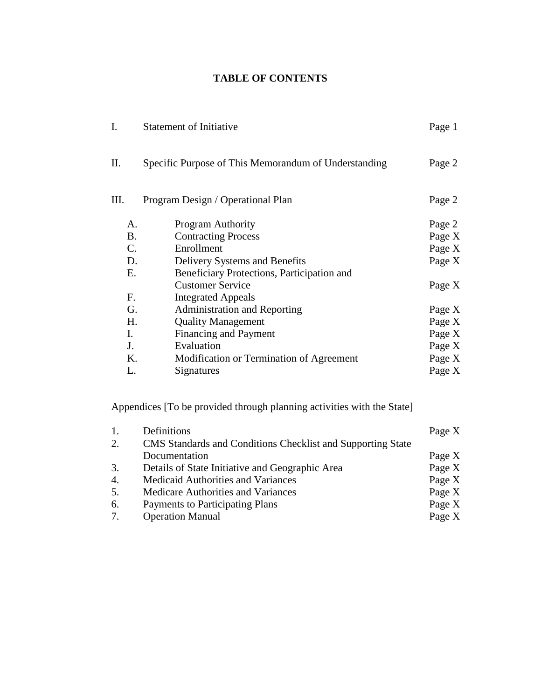# **TABLE OF CONTENTS**

|           | <b>Statement of Initiative</b>                       | Page 1 |
|-----------|------------------------------------------------------|--------|
| П.        | Specific Purpose of This Memorandum of Understanding | Page 2 |
| Ш.        | Program Design / Operational Plan                    | Page 2 |
| А.        | <b>Program Authority</b>                             | Page 2 |
| <b>B.</b> | <b>Contracting Process</b>                           | Page X |
| C.        | Enrollment                                           | Page X |
| D.        | Delivery Systems and Benefits                        | Page X |
| Е.        | Beneficiary Protections, Participation and           |        |
|           | <b>Customer Service</b>                              | Page X |
| F.        | <b>Integrated Appeals</b>                            |        |
| G.        | <b>Administration and Reporting</b>                  | Page X |
| Η.        | <b>Quality Management</b>                            | Page X |
| I.        | <b>Financing and Payment</b>                         | Page X |
| J.        | Evaluation                                           | Page X |
| Κ.        | Modification or Termination of Agreement             | Page X |
| L.        | Signatures                                           | Page X |

Appendices [To be provided through planning activities with the State]

| 1. | Definitions                                                 | Page X |
|----|-------------------------------------------------------------|--------|
| 2. | CMS Standards and Conditions Checklist and Supporting State |        |
|    | Documentation                                               | Page X |
| 3. | Details of State Initiative and Geographic Area             | Page X |
| 4. | <b>Medicaid Authorities and Variances</b>                   | Page X |
| 5. | Medicare Authorities and Variances                          | Page X |
| 6. | Payments to Participating Plans                             | Page X |
| 7. | <b>Operation Manual</b>                                     | Page X |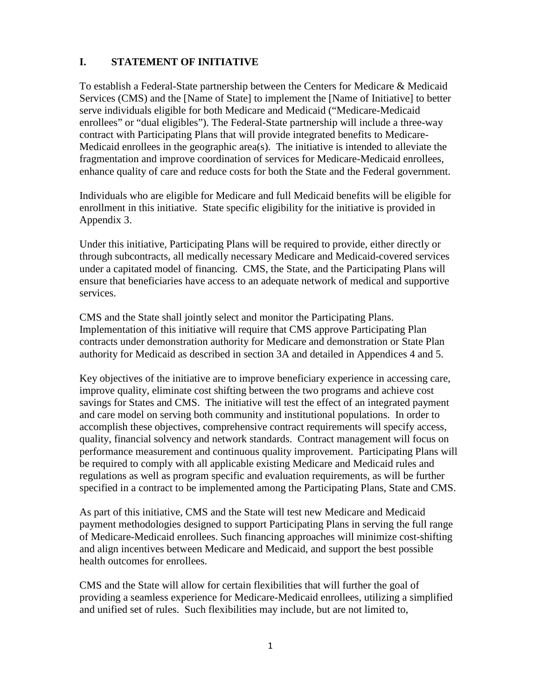# **I. STATEMENT OF INITIATIVE**

To establish a Federal-State partnership between the Centers for Medicare & Medicaid Services (CMS) and the [Name of State] to implement the [Name of Initiative] to better serve individuals eligible for both Medicare and Medicaid ("Medicare-Medicaid enrollees" or "dual eligibles"). The Federal-State partnership will include a three-way contract with Participating Plans that will provide integrated benefits to Medicare-Medicaid enrollees in the geographic area(s). The initiative is intended to alleviate the fragmentation and improve coordination of services for Medicare-Medicaid enrollees, enhance quality of care and reduce costs for both the State and the Federal government.

Individuals who are eligible for Medicare and full Medicaid benefits will be eligible for enrollment in this initiative. State specific eligibility for the initiative is provided in Appendix 3.

Under this initiative, Participating Plans will be required to provide, either directly or through subcontracts, all medically necessary Medicare and Medicaid-covered services under a capitated model of financing. CMS, the State, and the Participating Plans will ensure that beneficiaries have access to an adequate network of medical and supportive services.

CMS and the State shall jointly select and monitor the Participating Plans. Implementation of this initiative will require that CMS approve Participating Plan contracts under demonstration authority for Medicare and demonstration or State Plan authority for Medicaid as described in section 3A and detailed in Appendices 4 and 5.

Key objectives of the initiative are to improve beneficiary experience in accessing care, improve quality, eliminate cost shifting between the two programs and achieve cost savings for States and CMS. The initiative will test the effect of an integrated payment and care model on serving both community and institutional populations. In order to accomplish these objectives, comprehensive contract requirements will specify access, quality, financial solvency and network standards. Contract management will focus on performance measurement and continuous quality improvement. Participating Plans will be required to comply with all applicable existing Medicare and Medicaid rules and regulations as well as program specific and evaluation requirements, as will be further specified in a contract to be implemented among the Participating Plans, State and CMS.

As part of this initiative, CMS and the State will test new Medicare and Medicaid payment methodologies designed to support Participating Plans in serving the full range of Medicare-Medicaid enrollees. Such financing approaches will minimize cost-shifting and align incentives between Medicare and Medicaid, and support the best possible health outcomes for enrollees.

CMS and the State will allow for certain flexibilities that will further the goal of providing a seamless experience for Medicare-Medicaid enrollees, utilizing a simplified and unified set of rules. Such flexibilities may include, but are not limited to,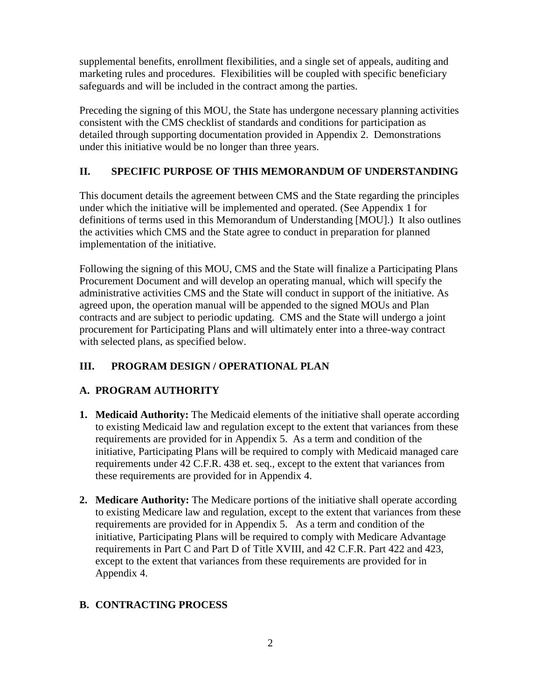supplemental benefits, enrollment flexibilities, and a single set of appeals, auditing and marketing rules and procedures. Flexibilities will be coupled with specific beneficiary safeguards and will be included in the contract among the parties.

Preceding the signing of this MOU, the State has undergone necessary planning activities consistent with the CMS checklist of standards and conditions for participation as detailed through supporting documentation provided in Appendix 2. Demonstrations under this initiative would be no longer than three years.

# **II. SPECIFIC PURPOSE OF THIS MEMORANDUM OF UNDERSTANDING**

This document details the agreement between CMS and the State regarding the principles under which the initiative will be implemented and operated. (See Appendix 1 for definitions of terms used in this Memorandum of Understanding [MOU].) It also outlines the activities which CMS and the State agree to conduct in preparation for planned implementation of the initiative.

Following the signing of this MOU, CMS and the State will finalize a Participating Plans Procurement Document and will develop an operating manual, which will specify the administrative activities CMS and the State will conduct in support of the initiative. As agreed upon, the operation manual will be appended to the signed MOUs and Plan contracts and are subject to periodic updating. CMS and the State will undergo a joint procurement for Participating Plans and will ultimately enter into a three-way contract with selected plans, as specified below.

# **III. PROGRAM DESIGN / OPERATIONAL PLAN**

# **A. PROGRAM AUTHORITY**

- **1. Medicaid Authority:** The Medicaid elements of the initiative shall operate according to existing Medicaid law and regulation except to the extent that variances from these requirements are provided for in Appendix 5. As a term and condition of the initiative, Participating Plans will be required to comply with Medicaid managed care requirements under 42 C.F.R. 438 et. seq., except to the extent that variances from these requirements are provided for in Appendix 4.
- **2. Medicare Authority:** The Medicare portions of the initiative shall operate according to existing Medicare law and regulation, except to the extent that variances from these requirements are provided for in Appendix 5. As a term and condition of the initiative, Participating Plans will be required to comply with Medicare Advantage requirements in Part C and Part D of Title XVIII, and 42 C.F.R. Part 422 and 423, except to the extent that variances from these requirements are provided for in Appendix 4.

# **B. CONTRACTING PROCESS**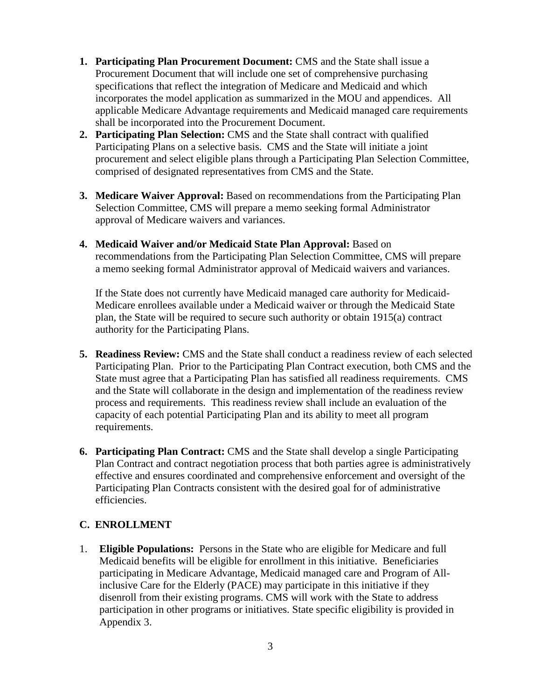- **1. Participating Plan Procurement Document:** CMS and the State shall issue a Procurement Document that will include one set of comprehensive purchasing specifications that reflect the integration of Medicare and Medicaid and which incorporates the model application as summarized in the MOU and appendices. All applicable Medicare Advantage requirements and Medicaid managed care requirements shall be incorporated into the Procurement Document.
- **2. Participating Plan Selection:** CMS and the State shall contract with qualified Participating Plans on a selective basis. CMS and the State will initiate a joint procurement and select eligible plans through a Participating Plan Selection Committee, comprised of designated representatives from CMS and the State.
- **3. Medicare Waiver Approval:** Based on recommendations from the Participating Plan Selection Committee, CMS will prepare a memo seeking formal Administrator approval of Medicare waivers and variances.
- **4. Medicaid Waiver and/or Medicaid State Plan Approval:** Based on recommendations from the Participating Plan Selection Committee, CMS will prepare a memo seeking formal Administrator approval of Medicaid waivers and variances.

If the State does not currently have Medicaid managed care authority for Medicaid-Medicare enrollees available under a Medicaid waiver or through the Medicaid State plan, the State will be required to secure such authority or obtain 1915(a) contract authority for the Participating Plans.

- **5. Readiness Review:** CMS and the State shall conduct a readiness review of each selected Participating Plan. Prior to the Participating Plan Contract execution, both CMS and the State must agree that a Participating Plan has satisfied all readiness requirements. CMS and the State will collaborate in the design and implementation of the readiness review process and requirements. This readiness review shall include an evaluation of the capacity of each potential Participating Plan and its ability to meet all program requirements.
- **6. Participating Plan Contract:** CMS and the State shall develop a single Participating Plan Contract and contract negotiation process that both parties agree is administratively effective and ensures coordinated and comprehensive enforcement and oversight of the Participating Plan Contracts consistent with the desired goal for of administrative efficiencies.

## **C. ENROLLMENT**

1. **Eligible Populations:** Persons in the State who are eligible for Medicare and full Medicaid benefits will be eligible for enrollment in this initiative. Beneficiaries participating in Medicare Advantage, Medicaid managed care and Program of Allinclusive Care for the Elderly (PACE) may participate in this initiative if they disenroll from their existing programs. CMS will work with the State to address participation in other programs or initiatives. State specific eligibility is provided in Appendix 3.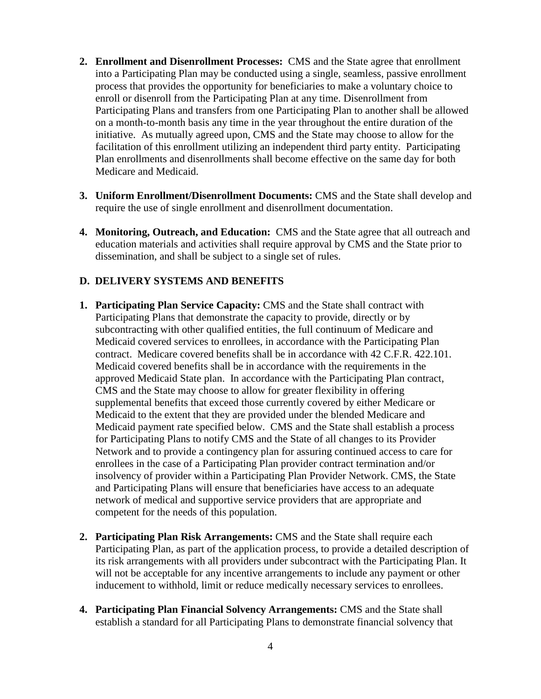- **2. Enrollment and Disenrollment Processes:** CMS and the State agree that enrollment into a Participating Plan may be conducted using a single, seamless, passive enrollment process that provides the opportunity for beneficiaries to make a voluntary choice to enroll or disenroll from the Participating Plan at any time. Disenrollment from Participating Plans and transfers from one Participating Plan to another shall be allowed on a month-to-month basis any time in the year throughout the entire duration of the initiative. As mutually agreed upon, CMS and the State may choose to allow for the facilitation of this enrollment utilizing an independent third party entity. Participating Plan enrollments and disenrollments shall become effective on the same day for both Medicare and Medicaid.
- **3. Uniform Enrollment/Disenrollment Documents:** CMS and the State shall develop and require the use of single enrollment and disenrollment documentation.
- **4. Monitoring, Outreach, and Education:** CMS and the State agree that all outreach and education materials and activities shall require approval by CMS and the State prior to dissemination, and shall be subject to a single set of rules.

#### **D. DELIVERY SYSTEMS AND BENEFITS**

- **1. Participating Plan Service Capacity:** CMS and the State shall contract with Participating Plans that demonstrate the capacity to provide, directly or by subcontracting with other qualified entities, the full continuum of Medicare and Medicaid covered services to enrollees, in accordance with the Participating Plan contract. Medicare covered benefits shall be in accordance with 42 C.F.R. 422.101. Medicaid covered benefits shall be in accordance with the requirements in the approved Medicaid State plan. In accordance with the Participating Plan contract, CMS and the State may choose to allow for greater flexibility in offering supplemental benefits that exceed those currently covered by either Medicare or Medicaid to the extent that they are provided under the blended Medicare and Medicaid payment rate specified below. CMS and the State shall establish a process for Participating Plans to notify CMS and the State of all changes to its Provider Network and to provide a contingency plan for assuring continued access to care for enrollees in the case of a Participating Plan provider contract termination and/or insolvency of provider within a Participating Plan Provider Network. CMS, the State and Participating Plans will ensure that beneficiaries have access to an adequate network of medical and supportive service providers that are appropriate and competent for the needs of this population.
- **2. Participating Plan Risk Arrangements:** CMS and the State shall require each Participating Plan, as part of the application process, to provide a detailed description of its risk arrangements with all providers under subcontract with the Participating Plan. It will not be acceptable for any incentive arrangements to include any payment or other inducement to withhold, limit or reduce medically necessary services to enrollees.
- **4. Participating Plan Financial Solvency Arrangements:** CMS and the State shall establish a standard for all Participating Plans to demonstrate financial solvency that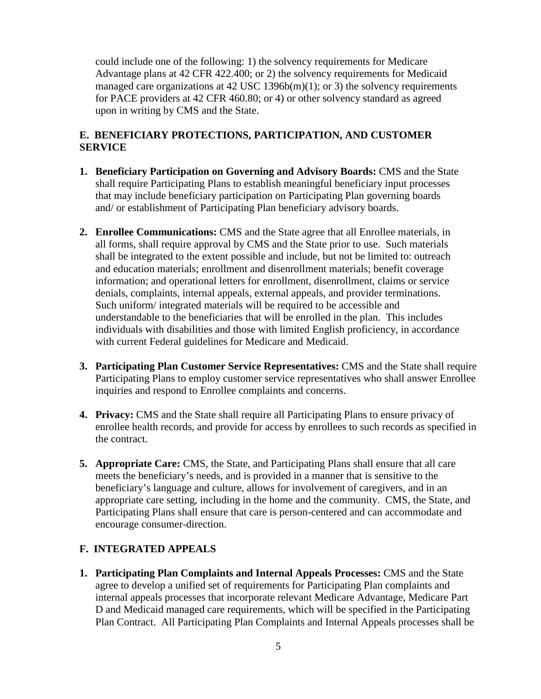could include one of the following: 1) the solvency requirements for Medicare Advantage plans at 42 CFR 422.400; or 2) the solvency requirements for Medicaid managed care organizations at 42 USC 1396b(m)(1); or 3) the solvency requirements for PACE providers at 42 CFR 460.80; or 4) or other solvency standard as agreed upon in writing by CMS and the State.

## **E. BENEFICIARY PROTECTIONS, PARTICIPATION, AND CUSTOMER SERVICE**

- **1. Beneficiary Participation on Governing and Advisory Boards:** CMS and the State shall require Participating Plans to establish meaningful beneficiary input processes that may include beneficiary participation on Participating Plan governing boards and/ or establishment of Participating Plan beneficiary advisory boards.
- **2. Enrollee Communications:** CMS and the State agree that all Enrollee materials, in all forms, shall require approval by CMS and the State prior to use. Such materials shall be integrated to the extent possible and include, but not be limited to: outreach and education materials; enrollment and disenrollment materials; benefit coverage information; and operational letters for enrollment, disenrollment, claims or service denials, complaints, internal appeals, external appeals, and provider terminations. Such uniform/ integrated materials will be required to be accessible and understandable to the beneficiaries that will be enrolled in the plan. This includes individuals with disabilities and those with limited English proficiency, in accordance with current Federal guidelines for Medicare and Medicaid.
- **3. Participating Plan Customer Service Representatives:** CMS and the State shall require Participating Plans to employ customer service representatives who shall answer Enrollee inquiries and respond to Enrollee complaints and concerns.
- **4. Privacy:** CMS and the State shall require all Participating Plans to ensure privacy of enrollee health records, and provide for access by enrollees to such records as specified in the contract.
- **5. Appropriate Care:** CMS, the State, and Participating Plans shall ensure that all care meets the beneficiary's needs, and is provided in a manner that is sensitive to the beneficiary's language and culture, allows for involvement of caregivers, and in an appropriate care setting, including in the home and the community. CMS, the State, and Participating Plans shall ensure that care is person-centered and can accommodate and encourage consumer-direction.

## **F. INTEGRATED APPEALS**

**1. Participating Plan Complaints and Internal Appeals Processes:** CMS and the State agree to develop a unified set of requirements for Participating Plan complaints and internal appeals processes that incorporate relevant Medicare Advantage, Medicare Part D and Medicaid managed care requirements, which will be specified in the Participating Plan Contract. All Participating Plan Complaints and Internal Appeals processes shall be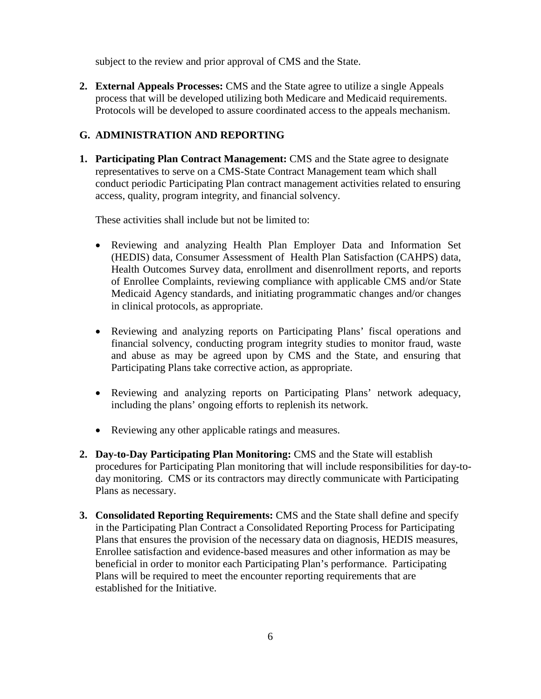subject to the review and prior approval of CMS and the State.

**2. External Appeals Processes:** CMS and the State agree to utilize a single Appeals process that will be developed utilizing both Medicare and Medicaid requirements. Protocols will be developed to assure coordinated access to the appeals mechanism.

#### **G. ADMINISTRATION AND REPORTING**

**1. Participating Plan Contract Management:** CMS and the State agree to designate representatives to serve on a CMS-State Contract Management team which shall conduct periodic Participating Plan contract management activities related to ensuring access, quality, program integrity, and financial solvency.

These activities shall include but not be limited to:

- Reviewing and analyzing Health Plan Employer Data and Information Set (HEDIS) data, Consumer Assessment of Health Plan Satisfaction (CAHPS) data, Health Outcomes Survey data, enrollment and disenrollment reports, and reports of Enrollee Complaints, reviewing compliance with applicable CMS and/or State Medicaid Agency standards, and initiating programmatic changes and/or changes in clinical protocols, as appropriate.
- Reviewing and analyzing reports on Participating Plans' fiscal operations and financial solvency, conducting program integrity studies to monitor fraud, waste and abuse as may be agreed upon by CMS and the State, and ensuring that Participating Plans take corrective action, as appropriate.
- Reviewing and analyzing reports on Participating Plans' network adequacy, including the plans' ongoing efforts to replenish its network.
- Reviewing any other applicable ratings and measures.
- **2. Day-to-Day Participating Plan Monitoring:** CMS and the State will establish procedures for Participating Plan monitoring that will include responsibilities for day-today monitoring. CMS or its contractors may directly communicate with Participating Plans as necessary.
- **3. Consolidated Reporting Requirements:** CMS and the State shall define and specify in the Participating Plan Contract a Consolidated Reporting Process for Participating Plans that ensures the provision of the necessary data on diagnosis, HEDIS measures, Enrollee satisfaction and evidence-based measures and other information as may be beneficial in order to monitor each Participating Plan's performance. Participating Plans will be required to meet the encounter reporting requirements that are established for the Initiative.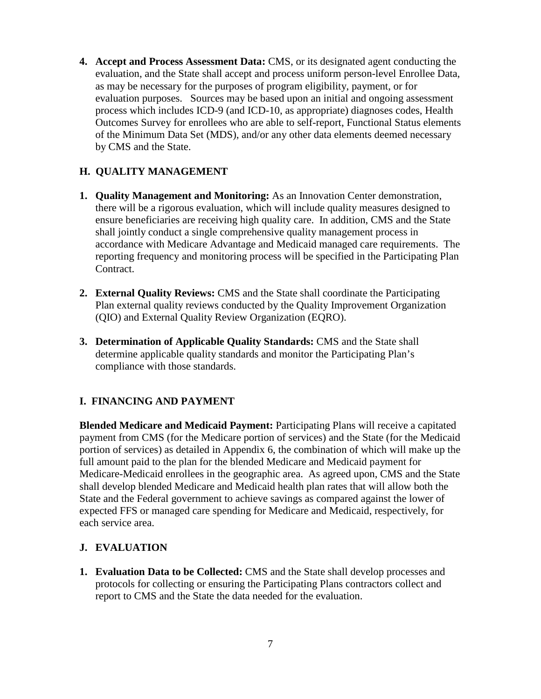**4. Accept and Process Assessment Data:** CMS, or its designated agent conducting the evaluation, and the State shall accept and process uniform person-level Enrollee Data, as may be necessary for the purposes of program eligibility, payment, or for evaluation purposes. Sources may be based upon an initial and ongoing assessment process which includes ICD-9 (and ICD-10, as appropriate) diagnoses codes, Health Outcomes Survey for enrollees who are able to self-report, Functional Status elements of the Minimum Data Set (MDS), and/or any other data elements deemed necessary by CMS and the State.

# **H. QUALITY MANAGEMENT**

- **1. Quality Management and Monitoring:** As an Innovation Center demonstration, there will be a rigorous evaluation, which will include quality measures designed to ensure beneficiaries are receiving high quality care. In addition, CMS and the State shall jointly conduct a single comprehensive quality management process in accordance with Medicare Advantage and Medicaid managed care requirements. The reporting frequency and monitoring process will be specified in the Participating Plan Contract.
- **2. External Quality Reviews:** CMS and the State shall coordinate the Participating Plan external quality reviews conducted by the Quality Improvement Organization (QIO) and External Quality Review Organization (EQRO).
- **3. Determination of Applicable Quality Standards:** CMS and the State shall determine applicable quality standards and monitor the Participating Plan's compliance with those standards.

## **I. FINANCING AND PAYMENT**

**Blended Medicare and Medicaid Payment:** Participating Plans will receive a capitated payment from CMS (for the Medicare portion of services) and the State (for the Medicaid portion of services) as detailed in Appendix 6, the combination of which will make up the full amount paid to the plan for the blended Medicare and Medicaid payment for Medicare-Medicaid enrollees in the geographic area. As agreed upon, CMS and the State shall develop blended Medicare and Medicaid health plan rates that will allow both the State and the Federal government to achieve savings as compared against the lower of expected FFS or managed care spending for Medicare and Medicaid, respectively, for each service area.

## **J. EVALUATION**

**1. Evaluation Data to be Collected:** CMS and the State shall develop processes and protocols for collecting or ensuring the Participating Plans contractors collect and report to CMS and the State the data needed for the evaluation.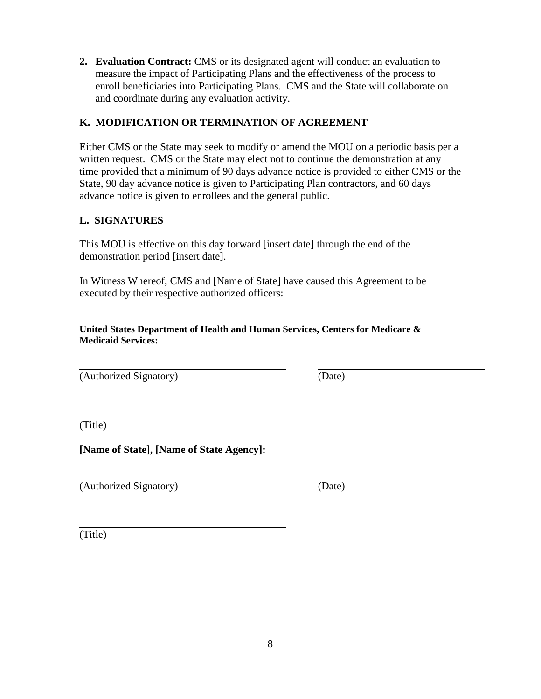**2. Evaluation Contract:** CMS or its designated agent will conduct an evaluation to measure the impact of Participating Plans and the effectiveness of the process to enroll beneficiaries into Participating Plans. CMS and the State will collaborate on and coordinate during any evaluation activity.

## **K. MODIFICATION OR TERMINATION OF AGREEMENT**

Either CMS or the State may seek to modify or amend the MOU on a periodic basis per a written request. CMS or the State may elect not to continue the demonstration at any time provided that a minimum of 90 days advance notice is provided to either CMS or the State, 90 day advance notice is given to Participating Plan contractors, and 60 days advance notice is given to enrollees and the general public.

## **L. SIGNATURES**

This MOU is effective on this day forward [insert date] through the end of the demonstration period [insert date].

In Witness Whereof, CMS and [Name of State] have caused this Agreement to be executed by their respective authorized officers:

**United States Department of Health and Human Services, Centers for Medicare & Medicaid Services:**

(Authorized Signatory) (Date)

(Title)

**[Name of State], [Name of State Agency]:**

(Authorized Signatory) (Date)

(Title)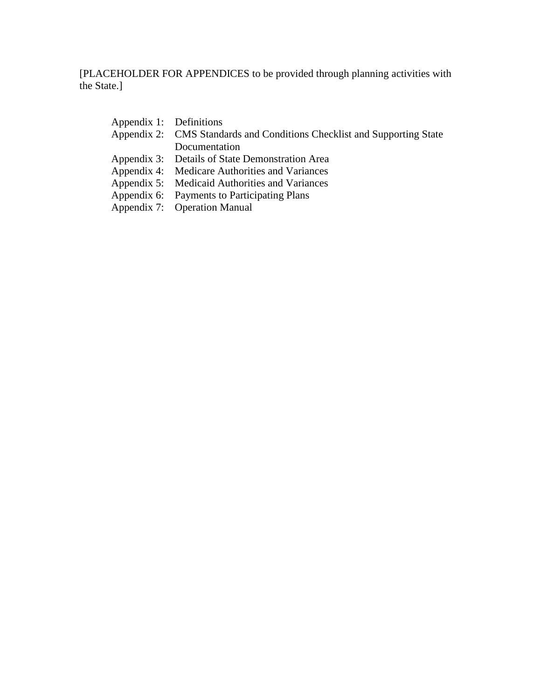[PLACEHOLDER FOR APPENDICES to be provided through planning activities with the State.]

| Appendix 1: Definitions |                                                                         |
|-------------------------|-------------------------------------------------------------------------|
|                         | Appendix 2: CMS Standards and Conditions Checklist and Supporting State |
|                         | Documentation                                                           |
|                         | Appendix 3: Details of State Demonstration Area                         |
|                         | Appendix 4: Medicare Authorities and Variances                          |
|                         | Appendix 5: Medicaid Authorities and Variances                          |
|                         | Appendix 6: Payments to Participating Plans                             |
|                         |                                                                         |

Appendix 7: Operation Manual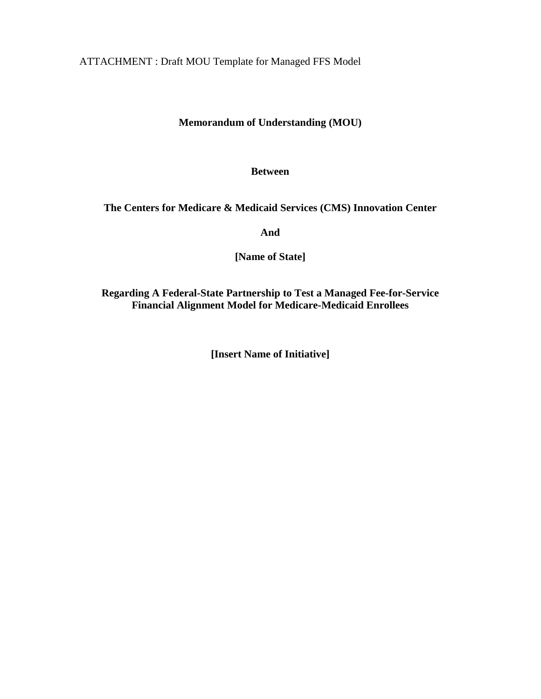ATTACHMENT : Draft MOU Template for Managed FFS Model

# **Memorandum of Understanding (MOU)**

#### **Between**

#### **The Centers for Medicare & Medicaid Services (CMS) Innovation Center**

**And**

**[Name of State]**

**Regarding A Federal-State Partnership to Test a Managed Fee-for-Service Financial Alignment Model for Medicare-Medicaid Enrollees**

**[Insert Name of Initiative]**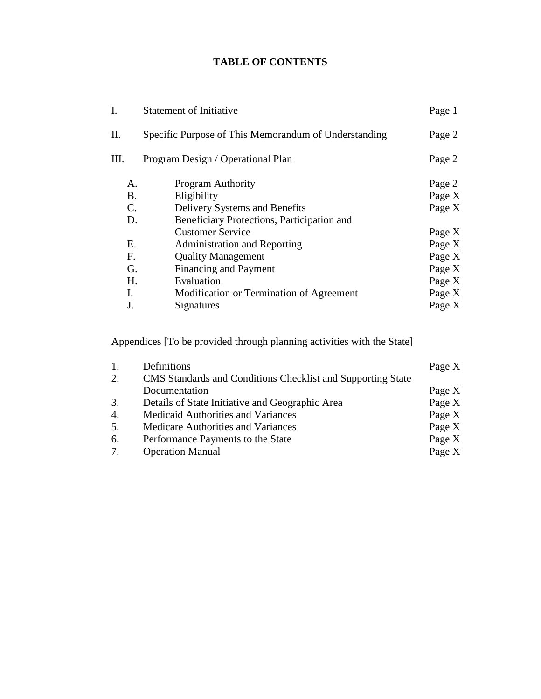# **TABLE OF CONTENTS**

| Ī.   | <b>Statement of Initiative</b>                       | Page 1 |
|------|------------------------------------------------------|--------|
| Π.   | Specific Purpose of This Memorandum of Understanding | Page 2 |
| III. | Program Design / Operational Plan                    | Page 2 |
| A.   | <b>Program Authority</b>                             | Page 2 |
| Β.   | Eligibility                                          | Page X |
| C.   | Delivery Systems and Benefits                        | Page X |
| D.   | Beneficiary Protections, Participation and           |        |
|      | <b>Customer Service</b>                              | Page X |
| Е.   | <b>Administration and Reporting</b>                  | Page X |
| F.   | <b>Quality Management</b>                            | Page X |
| G.   | <b>Financing and Payment</b>                         | Page X |
| Η.   | Evaluation                                           | Page X |
| L.   | Modification or Termination of Agreement             | Page X |
| J.   | Signatures                                           | Page X |
|      |                                                      |        |

Appendices [To be provided through planning activities with the State]

|    | Definitions                                                        | Page X |
|----|--------------------------------------------------------------------|--------|
| 2. | <b>CMS</b> Standards and Conditions Checklist and Supporting State |        |
|    | Documentation                                                      | Page X |
| 3. | Details of State Initiative and Geographic Area                    | Page X |
| 4. | <b>Medicaid Authorities and Variances</b>                          | Page X |
| 5. | Medicare Authorities and Variances                                 | Page X |
| 6. | Performance Payments to the State                                  | Page X |
| 7. | <b>Operation Manual</b>                                            | Page X |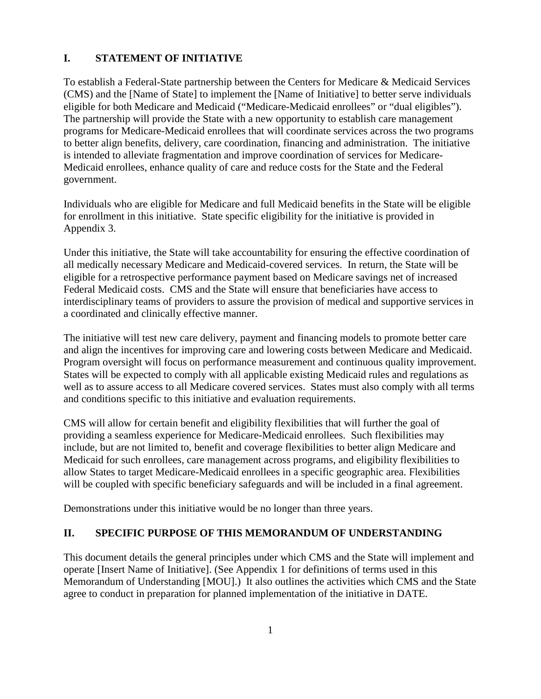#### **I. STATEMENT OF INITIATIVE**

To establish a Federal-State partnership between the Centers for Medicare & Medicaid Services (CMS) and the [Name of State] to implement the [Name of Initiative] to better serve individuals eligible for both Medicare and Medicaid ("Medicare-Medicaid enrollees" or "dual eligibles"). The partnership will provide the State with a new opportunity to establish care management programs for Medicare-Medicaid enrollees that will coordinate services across the two programs to better align benefits, delivery, care coordination, financing and administration. The initiative is intended to alleviate fragmentation and improve coordination of services for Medicare-Medicaid enrollees, enhance quality of care and reduce costs for the State and the Federal government.

Individuals who are eligible for Medicare and full Medicaid benefits in the State will be eligible for enrollment in this initiative. State specific eligibility for the initiative is provided in Appendix 3.

Under this initiative, the State will take accountability for ensuring the effective coordination of all medically necessary Medicare and Medicaid-covered services. In return, the State will be eligible for a retrospective performance payment based on Medicare savings net of increased Federal Medicaid costs. CMS and the State will ensure that beneficiaries have access to interdisciplinary teams of providers to assure the provision of medical and supportive services in a coordinated and clinically effective manner.

The initiative will test new care delivery, payment and financing models to promote better care and align the incentives for improving care and lowering costs between Medicare and Medicaid. Program oversight will focus on performance measurement and continuous quality improvement. States will be expected to comply with all applicable existing Medicaid rules and regulations as well as to assure access to all Medicare covered services. States must also comply with all terms and conditions specific to this initiative and evaluation requirements.

CMS will allow for certain benefit and eligibility flexibilities that will further the goal of providing a seamless experience for Medicare-Medicaid enrollees. Such flexibilities may include, but are not limited to, benefit and coverage flexibilities to better align Medicare and Medicaid for such enrollees, care management across programs, and eligibility flexibilities to allow States to target Medicare-Medicaid enrollees in a specific geographic area. Flexibilities will be coupled with specific beneficiary safeguards and will be included in a final agreement.

Demonstrations under this initiative would be no longer than three years.

#### **II. SPECIFIC PURPOSE OF THIS MEMORANDUM OF UNDERSTANDING**

This document details the general principles under which CMS and the State will implement and operate [Insert Name of Initiative]. (See Appendix 1 for definitions of terms used in this Memorandum of Understanding [MOU].) It also outlines the activities which CMS and the State agree to conduct in preparation for planned implementation of the initiative in DATE.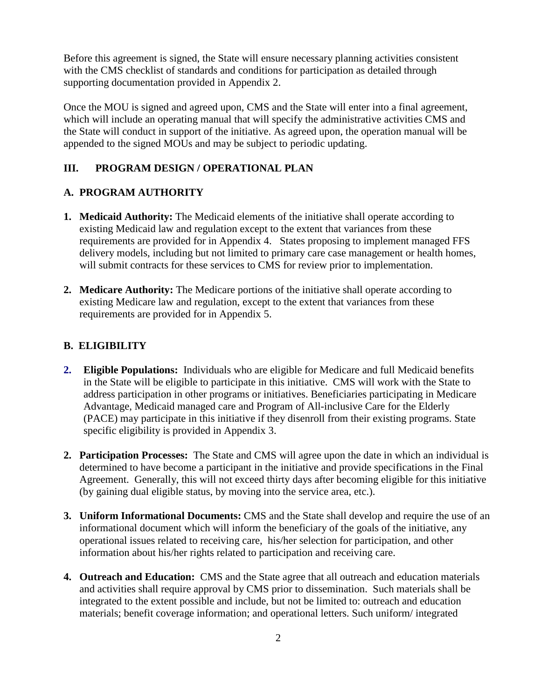Before this agreement is signed, the State will ensure necessary planning activities consistent with the CMS checklist of standards and conditions for participation as detailed through supporting documentation provided in Appendix 2.

Once the MOU is signed and agreed upon, CMS and the State will enter into a final agreement, which will include an operating manual that will specify the administrative activities CMS and the State will conduct in support of the initiative. As agreed upon, the operation manual will be appended to the signed MOUs and may be subject to periodic updating.

## **III. PROGRAM DESIGN / OPERATIONAL PLAN**

## **A. PROGRAM AUTHORITY**

- **1. Medicaid Authority:** The Medicaid elements of the initiative shall operate according to existing Medicaid law and regulation except to the extent that variances from these requirements are provided for in Appendix 4. States proposing to implement managed FFS delivery models, including but not limited to primary care case management or health homes, will submit contracts for these services to CMS for review prior to implementation.
- **2. Medicare Authority:** The Medicare portions of the initiative shall operate according to existing Medicare law and regulation, except to the extent that variances from these requirements are provided for in Appendix 5.

#### **B. ELIGIBILITY**

- **2. Eligible Populations:** Individuals who are eligible for Medicare and full Medicaid benefits in the State will be eligible to participate in this initiative. CMS will work with the State to address participation in other programs or initiatives. Beneficiaries participating in Medicare Advantage, Medicaid managed care and Program of All-inclusive Care for the Elderly (PACE) may participate in this initiative if they disenroll from their existing programs. State specific eligibility is provided in Appendix 3.
- **2. Participation Processes:** The State and CMS will agree upon the date in which an individual is determined to have become a participant in the initiative and provide specifications in the Final Agreement. Generally, this will not exceed thirty days after becoming eligible for this initiative (by gaining dual eligible status, by moving into the service area, etc.).
- **3. Uniform Informational Documents:** CMS and the State shall develop and require the use of an informational document which will inform the beneficiary of the goals of the initiative, any operational issues related to receiving care, his/her selection for participation, and other information about his/her rights related to participation and receiving care.
- **4. Outreach and Education:** CMS and the State agree that all outreach and education materials and activities shall require approval by CMS prior to dissemination. Such materials shall be integrated to the extent possible and include, but not be limited to: outreach and education materials; benefit coverage information; and operational letters. Such uniform/ integrated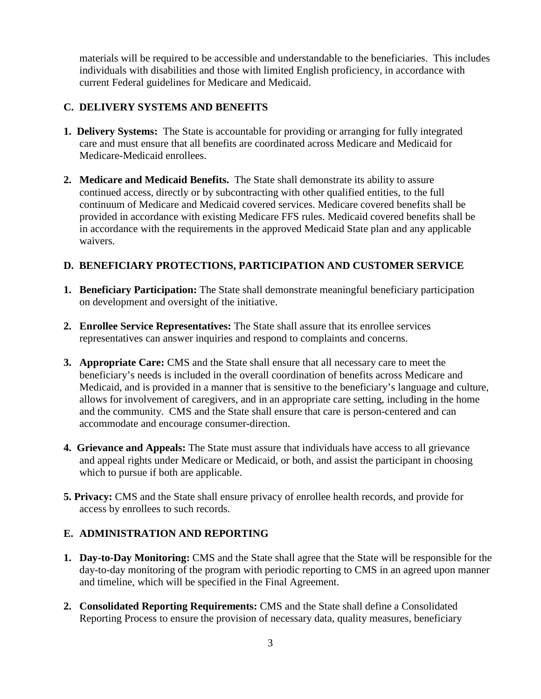materials will be required to be accessible and understandable to the beneficiaries. This includes individuals with disabilities and those with limited English proficiency, in accordance with current Federal guidelines for Medicare and Medicaid.

## **C. DELIVERY SYSTEMS AND BENEFITS**

- **1. Delivery Systems:** The State is accountable for providing or arranging for fully integrated care and must ensure that all benefits are coordinated across Medicare and Medicaid for Medicare-Medicaid enrollees.
- **2. Medicare and Medicaid Benefits.** The State shall demonstrate its ability to assure continued access, directly or by subcontracting with other qualified entities, to the full continuum of Medicare and Medicaid covered services. Medicare covered benefits shall be provided in accordance with existing Medicare FFS rules. Medicaid covered benefits shall be in accordance with the requirements in the approved Medicaid State plan and any applicable waivers.

#### **D. BENEFICIARY PROTECTIONS, PARTICIPATION AND CUSTOMER SERVICE**

- **1. Beneficiary Participation:** The State shall demonstrate meaningful beneficiary participation on development and oversight of the initiative.
- **2. Enrollee Service Representatives:** The State shall assure that its enrollee services representatives can answer inquiries and respond to complaints and concerns.
- **3. Appropriate Care:** CMS and the State shall ensure that all necessary care to meet the beneficiary's needs is included in the overall coordination of benefits across Medicare and Medicaid, and is provided in a manner that is sensitive to the beneficiary's language and culture, allows for involvement of caregivers, and in an appropriate care setting, including in the home and the community. CMS and the State shall ensure that care is person-centered and can accommodate and encourage consumer-direction.
- **4. Grievance and Appeals:** The State must assure that individuals have access to all grievance and appeal rights under Medicare or Medicaid, or both, and assist the participant in choosing which to pursue if both are applicable.
- **5. Privacy:** CMS and the State shall ensure privacy of enrollee health records, and provide for access by enrollees to such records.

## **E. ADMINISTRATION AND REPORTING**

- **1. Day-to-Day Monitoring:** CMS and the State shall agree that the State will be responsible for the day-to-day monitoring of the program with periodic reporting to CMS in an agreed upon manner and timeline, which will be specified in the Final Agreement.
- **2. Consolidated Reporting Requirements:** CMS and the State shall define a Consolidated Reporting Process to ensure the provision of necessary data, quality measures, beneficiary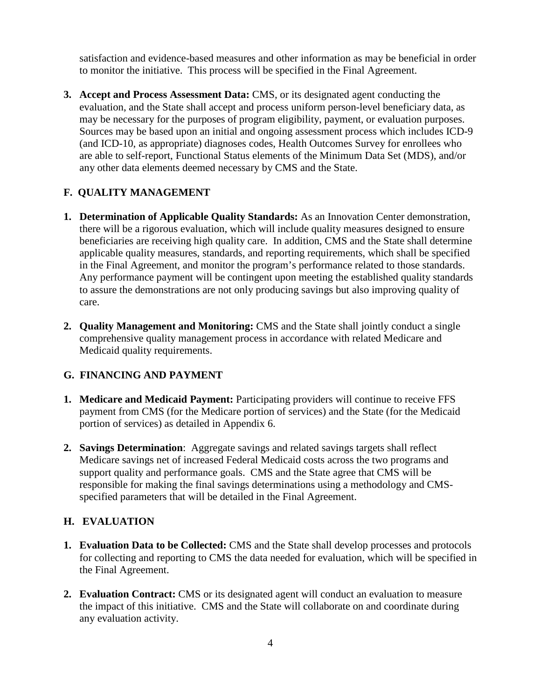satisfaction and evidence-based measures and other information as may be beneficial in order to monitor the initiative. This process will be specified in the Final Agreement.

**3. Accept and Process Assessment Data:** CMS, or its designated agent conducting the evaluation, and the State shall accept and process uniform person-level beneficiary data, as may be necessary for the purposes of program eligibility, payment, or evaluation purposes. Sources may be based upon an initial and ongoing assessment process which includes ICD-9 (and ICD-10, as appropriate) diagnoses codes, Health Outcomes Survey for enrollees who are able to self-report, Functional Status elements of the Minimum Data Set (MDS), and/or any other data elements deemed necessary by CMS and the State.

# **F. QUALITY MANAGEMENT**

- **1. Determination of Applicable Quality Standards:** As an Innovation Center demonstration, there will be a rigorous evaluation, which will include quality measures designed to ensure beneficiaries are receiving high quality care. In addition, CMS and the State shall determine applicable quality measures, standards, and reporting requirements, which shall be specified in the Final Agreement, and monitor the program's performance related to those standards. Any performance payment will be contingent upon meeting the established quality standards to assure the demonstrations are not only producing savings but also improving quality of care.
- **2. Quality Management and Monitoring:** CMS and the State shall jointly conduct a single comprehensive quality management process in accordance with related Medicare and Medicaid quality requirements.

# **G. FINANCING AND PAYMENT**

- **1. Medicare and Medicaid Payment:** Participating providers will continue to receive FFS payment from CMS (for the Medicare portion of services) and the State (for the Medicaid portion of services) as detailed in Appendix 6.
- **2. Savings Determination**: Aggregate savings and related savings targets shall reflect Medicare savings net of increased Federal Medicaid costs across the two programs and support quality and performance goals. CMS and the State agree that CMS will be responsible for making the final savings determinations using a methodology and CMSspecified parameters that will be detailed in the Final Agreement.

## **H. EVALUATION**

- **1. Evaluation Data to be Collected:** CMS and the State shall develop processes and protocols for collecting and reporting to CMS the data needed for evaluation, which will be specified in the Final Agreement.
- **2. Evaluation Contract:** CMS or its designated agent will conduct an evaluation to measure the impact of this initiative. CMS and the State will collaborate on and coordinate during any evaluation activity.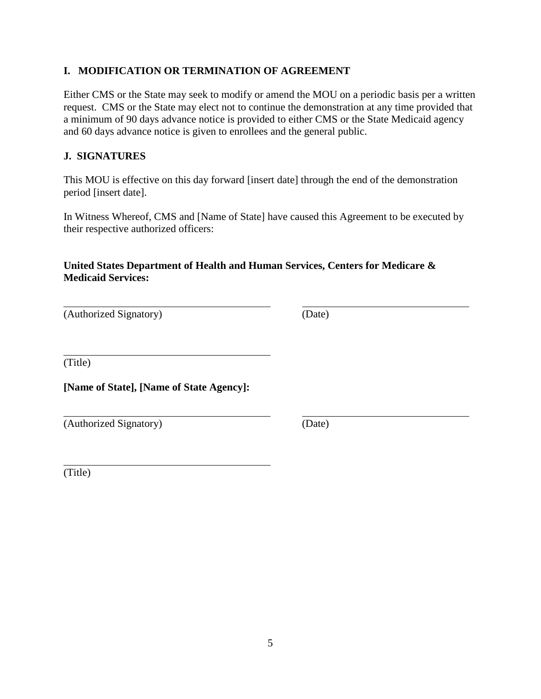# **I. MODIFICATION OR TERMINATION OF AGREEMENT**

Either CMS or the State may seek to modify or amend the MOU on a periodic basis per a written request. CMS or the State may elect not to continue the demonstration at any time provided that a minimum of 90 days advance notice is provided to either CMS or the State Medicaid agency and 60 days advance notice is given to enrollees and the general public.

# **J. SIGNATURES**

This MOU is effective on this day forward [insert date] through the end of the demonstration period [insert date].

In Witness Whereof, CMS and [Name of State] have caused this Agreement to be executed by their respective authorized officers:

# **United States Department of Health and Human Services, Centers for Medicare & Medicaid Services:**

| (Authorized Signatory) | (Date) |
|------------------------|--------|
|------------------------|--------|

(Title)

**[Name of State], [Name of State Agency]:**

| (Authorized Signatory) | (Date) |
|------------------------|--------|
|                        |        |

(Title)